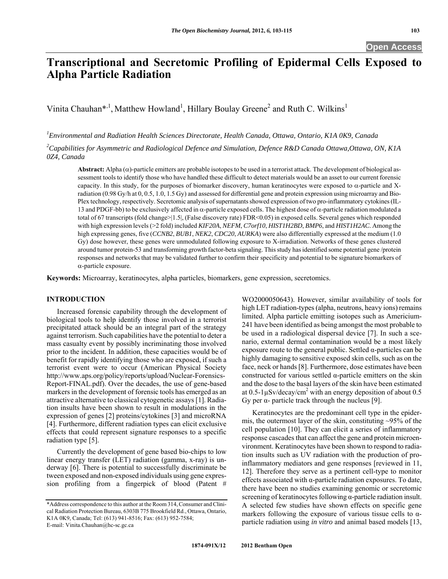# **Transcriptional and Secretomic Profiling of Epidermal Cells Exposed to Alpha Particle Radiation**

Vinita Chauhan\*<sup>1</sup>, Matthew Howland<sup>1</sup>, Hillary Boulay Greene<sup>2</sup> and Ruth C. Wilkins<sup>1</sup>

*1 Environmental and Radiation Health Sciences Directorate, Health Canada, Ottawa, Ontario, K1A 0K9, Canada* 

*2 Capabilities for Asymmetric and Radiological Defence and Simulation, Defence R&D Canada Ottawa,Ottawa, ON, K1A 0Z4, Canada* 

**Abstract:** Alpha  $(\alpha)$ -particle emitters are probable isotopes to be used in a terrorist attack. The development of biological assessment tools to identify those who have handled these difficult to detect materials would be an asset to our current forensic capacity. In this study, for the purposes of biomarker discovery, human keratinocytes were exposed to  $\alpha$ -particle and Xradiation (0.98 Gy/h at 0, 0.5, 1.0, 1.5 Gy) and assessed for differential gene and protein expression using microarray and Bio-Plex technology, respectively. Secretomic analysis of supernatants showed expression of two pro-inflammatory cytokines (IL-13 and PDGF-bb) to be exclusively affected in  $\alpha$ -particle exposed cells. The highest dose of  $\alpha$ -particle radiation modulated a total of 67 transcripts (fold change>|1.5|, (False discovery rate) FDR<0.05) in exposed cells. Several genes which responded with high expression levels (>2 fold) included *KIF20A*, *NEFM*, *C7orf10*, *HIST1H2BD*, *BMP6*, and *HIST1H2AC*. Among the high expressing genes, five (*CCNB2*, *BUB1*, *NEK2*, *CDC20*, *AURKA*) were also differentially expressed at the medium (1.0 Gy) dose however, these genes were unmodulated following exposure to X-irradiation. Networks of these genes clustered around tumor protein-53 and transforming growth factor-beta signaling. This study has identified some potential gene /protein responses and networks that may be validated further to confirm their specificity and potential to be signature biomarkers of  $\alpha$ -particle exposure.

**Keywords:** Microarray, keratinocytes, alpha particles, biomarkers, gene expression, secretomics.

#### **INTRODUCTION**

 Increased forensic capability through the development of biological tools to help identify those involved in a terrorist precipitated attack should be an integral part of the strategy against terrorism. Such capabilities have the potential to deter a mass casualty event by possibly incriminating those involved prior to the incident. In addition, these capacities would be of benefit for rapidly identifying those who are exposed, if such a terrorist event were to occur (American Physical Society http://www.aps.org/policy/reports/upload/Nuclear-Forensics-Report-FINAL.pdf). Over the decades, the use of gene-based markers in the development of forensic tools has emerged as an attractive alternative to classical cytogenetic assays [1]. Radiation insults have been shown to result in modulations in the expression of genes [2] proteins/cytokines [3] and microRNA [4]. Furthermore, different radiation types can elicit exclusive effects that could represent signature responses to a specific radiation type [5].

 Currently the development of gene based bio-chips to low linear energy transfer (LET) radiation (gamma, x-ray) is underway [6]. There is potential to successfully discriminate be tween exposed and non-exposed individuals using gene expression profiling from a fingerpick of blood (Patent # WO2000050643). However, similar availability of tools for high LET radiation-types (alpha, neutrons, heavy ions) remains limited. Alpha particle emitting isotopes such as Americium-241 have been identified as being amongst the most probable to be used in a radiological dispersal device [7]. In such a scenario, external dermal contamination would be a most likely exposure route to the general public. Settled  $\alpha$ -particles can be highly damaging to sensitive exposed skin cells, such as on the face, neck or hands [8]. Furthermore, dose estimates have been constructed for various settled α-particle emitters on the skin and the dose to the basal layers of the skin have been estimated at 0.5-1 $\mu$ Sv/decay/cm<sup>2</sup> with an energy deposition of about 0.5 Gy per  $\alpha$ - particle track through the nucleus [9].

 Keratinocytes are the predominant cell type in the epidermis, the outermost layer of the skin, constituting  $\sim$ 95% of the cell population [10]. They can elicit a series of inflammatory response cascades that can affect the gene and protein microenvironment. Keratinocytes have been shown to respond to radiation insults such as UV radiation with the production of proinflammatory mediators and gene responses [reviewed in 11, 12]. Therefore they serve as a pertinent cell-type to monitor effects associated with  $\alpha$ -particle radiation exposures. To date, there have been no studies examining genomic or secretomic screening of keratinocytes following α-particle radiation insult. A selected few studies have shown effects on specific gene markers following the exposure of various tissue cells to  $\alpha$ particle radiation using *in vitro* and animal based models [13,

<sup>\*</sup>Address correspondence to this author at the Room 314, Consumer and Clinical Radiation Protection Bureau, 6303B 775 Brookfield Rd., Ottawa, Ontario, K1A 0K9, Canada; Tel: (613) 941-8516; Fax: (613) 952-7584; E-mail: Vinita.Chauhan@hc-sc.gc.ca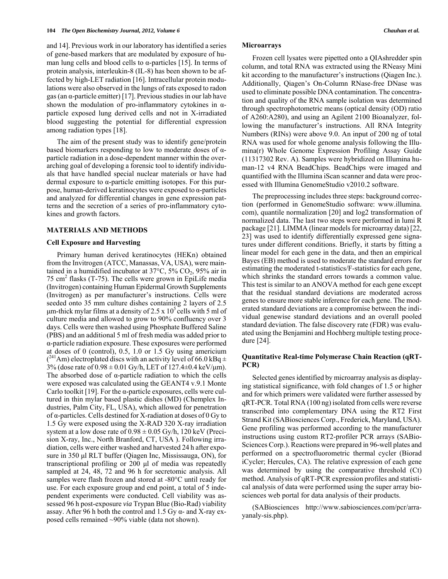and 14]. Previous work in our laboratory has identified a series of gene-based markers that are modulated by exposure of human lung cells and blood cells to  $\alpha$ -particles [15]. In terms of protein analysis, interleukin-8 (IL-8) has been shown to be affected by high-LET radiation [16]. Intracellular protein modulations were also observed in the lungs of rats exposed to radon gas (an  $\alpha$ -particle emitter) [17]. Previous studies in our lab have shown the modulation of pro-inflammatory cytokines in  $\alpha$ particle exposed lung derived cells and not in X-irradiated blood suggesting the potential for differential expression among radiation types [18].

 The aim of the present study was to identify gene/protein based biomarkers responding to low to moderate doses of αparticle radiation in a dose-dependent manner within the overarching goal of developing a forensic tool to identify individuals that have handled special nuclear materials or have had dermal exposure to  $\alpha$ -particle emitting isotopes. For this purpose, human-derived keratinocytes were exposed to α-particles and analyzed for differential changes in gene expression patterns and the secretion of a series of pro-inflammatory cytokines and growth factors.

#### **MATERIALS AND METHODS**

#### **Cell Exposure and Harvesting**

 Primary human derived keratinocytes (HEKn) obtained from the Invitrogen (ATCC, Manassas, VA, USA), were maintained in a humidified incubator at  $37^{\circ}$ C,  $5\%$  CO<sub>2</sub>,  $95\%$  air in 75  $\text{cm}^2$  flasks (T-75). The cells were grown in EpiLife media (Invitrogen) containing Human Epidermal Growth Supplements (Invitrogen) as per manufacturer's instructions. Cells were seeded onto 35 mm culture dishes containing 2 layers of 2.5 μm-thick mylar films at a density of 2.5 x  $10<sup>5</sup>$  cells with 5 ml of culture media and allowed to grow to 90% confluency over 3 days. Cells were then washed using Phosphate Buffered Saline (PBS) and an additional 5 ml of fresh media was added prior to α-particle radiation exposure. These exposures were performed at doses of 0 (control), 0.5, 1.0 or 1.5 Gy using americium  $(^{241}$ Am) electroplated discs with an activity level of 66.0 kBq  $\pm$ 3% (dose rate of  $0.98 \pm 0.01$  Gy/h, LET of 127.4 $\pm$ 0.4 keV/ $\mu$ m). The absorbed dose of  $\alpha$ -particle radiation to which the cells were exposed was calculated using the GEANT4 v.9.1 Monte Carlo toolkit [19]. For the  $\alpha$ -particle exposures, cells were cultured in thin mylar based plastic dishes (MD) (Chemplex Industries, Palm City, FL, USA), which allowed for penetration of α-particles. Cells destined for X-radiation at doses of 0 Gy to 1.5 Gy were exposed using the X-RAD 320 X-ray irradiation system at a low dose rate of  $0.98 \pm 0.05$  Gy/h, 120 keV (Precision X-ray, Inc., North Branford, CT, USA ). Following irradiation, cells were either washed and harvested 24 h after exposure in 350 μl RLT buffer (Qiagen Inc, Mississauga, ON), for transcriptional profiling or 200 μl of media was repeatedly sampled at 24, 48, 72 and 96 h for secretomic analysis. All samples were flash frozen and stored at -80°C until ready for use. For each exposure group and end point, a total of 5 independent experiments were conducted. Cell viability was assessed 96 h post-exposure *via* Trypan Blue (Bio-Rad) viability assay. After 96 h both the control and 1.5 Gy  $\alpha$ - and X-ray exposed cells remained ~90% viable (data not shown).

#### **Microarrays**

 Frozen cell lysates were pipetted onto a QIAshredder spin column, and total RNA was extracted using the RNeasy Mini kit according to the manufacturer's instructions (Qiagen Inc.). Additionally, Qiagen's On-Column RNase-free DNase was used to eliminate possible DNA contamination. The concentration and quality of the RNA sample isolation was determined through spectrophotometric means (optical density (OD) ratio of A260:A280), and using an Agilent 2100 Bioanalyzer, following the manufacturer's instructions. All RNA Integrity Numbers (RINs) were above 9.0. An input of 200 ng of total RNA was used for whole genome analysis following the Illumina(r) Whole Genome Expression Profiling Assay Guide (11317302 Rev. A). Samples were hybridized on Illumina human-12 v4 RNA BeadChips. BeadChips were imaged and quantified with the Illumina iScan scanner and data were processed with Illumina GenomeStudio v2010.2 software.

 The preprocessing includes three steps: background correction (performed in GenomeStudio software: www.illumina. com), quantile normalization [20] and log2 transformation of normalized data. The last two steps were performed in lumi R package [21]. LIMMA (linear models for microarray data) [22, 23] was used to identify differentially expressed gene signatures under different conditions. Briefly, it starts by fitting a linear model for each gene in the data, and then an empirical Bayes (EB) method is used to moderate the standard errors for estimating the moderated t-statistics/F-statistics for each gene, which shrinks the standard errors towards a common value. This test is similar to an ANOVA method for each gene except that the residual standard deviations are moderated across genes to ensure more stable inference for each gene. The moderated standard deviations are a compromise between the individual genewise standard deviations and an overall pooled standard deviation. The false discovery rate (FDR) was evaluated using the Benjamini and Hochberg multiple testing procedure [24].

## **Quantitative Real-time Polymerase Chain Reaction (qRT-PCR)**

 Selected genes identified by microarray analysis as displaying statistical significance, with fold changes of 1.5 or higher and for which primers were validated were further assessed by qRT-PCR. Total RNA (100 ng) isolated from cells were reverse transcribed into complementary DNA using the RT2 First Strand Kit (SABiosciences Corp., Frederick, Maryland, USA). Gene profiling was performed according to the manufacturer instructions using custom RT2-profiler PCR arrays (SABio-Sciences Corp.). Reactions were prepared in 96-well plates and performed on a spectrofluorometric thermal cycler (Biorad iCycler; Hercules, CA). The relative expression of each gene was determined by using the comparative threshold (Ct) method. Analysis of qRT-PCR expression profiles and statistical analysis of data were performed using the super array biosciences web portal for data analysis of their products.

 (SABiosciences http://www.sabiosciences.com/pcr/arrayanaly-sis.php).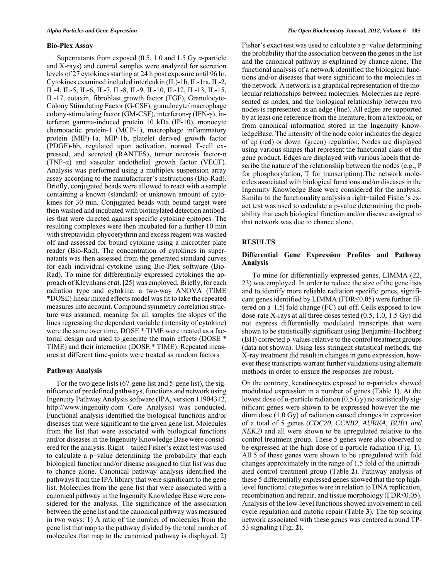#### **Bio-Plex Assay**

Supernatants from exposed  $(0.5, 1.0, \text{and } 1.5)$  Gy  $\alpha$ -particle and X-rays) and control samples were analyzed for secretion levels of 27 cytokines starting at 24 h post exposure until 96 hr. Cytokines examined included interleukin (IL)-1b, IL-1ra, IL-2, IL-4, IL-5, IL-6, IL-7, IL-8, IL-9, IL-10, IL-12, IL-13, IL-15, IL-17, eotaxin, fibroblast growth factor (FGF), Granulocyte-Colony Stimulating Factor (G-CSF), granulocyte/ macrophage colony-stimulating factor (GM-CSF), interferon-γ (IFN-γ), interferon gamma-induced protein 10 kDa (IP-10), monocyte chemotactic protein-1 (MCP-1), macrophage inflammatory protein (MIP)-1a, MIP-1b, platelet derived growth factor (PDGF)-bb, regulated upon activation, normal T-cell expressed, and secreted (RANTES), tumor necrosis factor-α (TNF- $\alpha$ ) and vascular endothelial growth factor (VEGF). Analysis was performed using a multiplex suspension array assay according to the manufacturer's instructions (Bio-Rad). Briefly, conjugated beads were allowed to react with a sample containing a known (standard) or unknown amount of cytokines for 30 min. Conjugated beads with bound target were then washed and incubated with biotinylated detection antibodies that were directed against specific cytokine epitopes. The resulting complexes were then incubated for a further 10 min with streptavidin-phycoerythrin and excess reagent was washed off and assessed for bound cytokine using a microtiter plate reader (Bio-Rad). The concentration of cytokines in supernatants was then assessed from the generated standard curves for each individual cytokine using Bio-Plex software (Bio-Rad). To mine for differentially expressed cytokines the approach of Kleynhans *et al*. [25] was employed. Briefly, for each radiation type and cytokine, a two-way ANOVA (TIME \*DOSE) linear mixed effects model was fit to take the repeated measures into account. Compound symmetry correlation structure was assumed, meaning for all samples the slopes of the lines regressing the dependent variable (intensity of cytokine) were the same over time. DOSE \* TIME were treated as a factorial design and used to generate the main effects (DOSE \* TIME) and their interaction (DOSE \* TIME). Repeated measures at different time-points were treated as random factors.

#### **Pathway Analysis**

 For the two gene lists (67-gene list and 5-gene list), the significance of predefined pathways, functions and network using Ingenuity Pathway Analysis software (IPA, version 11904312, http://www.ingenuity.com Core Analysis) was conducted. Functional analysis identified the biological functions and/or diseases that were significant to the given gene list. Molecules from the list that were associated with biological functions and/or diseases in the Ingenuity Knowledge Base were considered for the analysis. Right – tailed Fisher's exact test was used to calculate a p-value determining the probability that each biological function and/or disease assigned to that list was due to chance alone. Canonical pathway analysis identified the pathways from the IPA library that were significant to the gene list. Molecules from the gene list that were associated with a canonical pathway in the Ingenuity Knowledge Base were considered for the analysis. The significance of the association between the gene list and the canonical pathway was measured in two ways: 1) A ratio of the number of molecules from the gene list that map to the pathway divided by the total number of molecules that map to the canonical pathway is displayed. 2)

Fisher's exact test was used to calculate a p-value determining the probability that the association between the genes in the list and the canonical pathway is explained by chance alone. The functional analysis of a network identified the biological functions and/or diseases that were significant to the molecules in the network. A network is a graphical representation of the molecular relationships between molecules. Molecules are represented as nodes, and the biological relationship between two nodes is represented as an edge (line). All edges are supported by at least one reference from the literature, from a textbook, or from canonical information stored in the Ingenuity KnowledgeBase. The intensity of the node color indicates the degree of up (red) or down (green) regulation. Nodes are displayed using various shapes that represent the functional class of the gene product. Edges are displayed with various labels that describe the nature of the relationship between the nodes (e.g., P for phosphorylation, T for transcription).The network molecules associated with biological functions and/or diseases in the Ingenuity Knowledge Base were considered for the analysis. Similar to the functionality analysis a right-tailed Fisher's exact test was used to calculate a p-value determining the probability that each biological function and/or disease assigned to that network was due to chance alone.

## **RESULTS**

# **Differential Gene Expression Profiles and Pathway Analysis**

 To mine for differentially expressed genes, LIMMA (22, 23) was employed. In order to reduce the size of the gene lists and to identify more reliable radiation specific genes, significant genes identified by LIMMA (FDR≤0.05) were further filtered on a |1.5| fold change (FC) cut-off. Cells exposed to low dose-rate X-rays at all three doses tested (0.5, 1.0, 1.5 Gy) did not express differentially modulated transcripts that were shown to be statistically significant using Benjamini-Hochberg (BH) corrected p-values relative to the control treatment groups (data not shown). Using less stringent statistical methods, the X-ray treatment did result in changes in gene expression, however these transcripts warrant further validations using alternate methods in order to ensure the responses are robust.

On the contrary, keratinocytes exposed to α-particles showed modulated expression in a number of genes (Table **1**). At the lowest dose of α-particle radiation  $(0.5 \text{ Gy})$  no statistically significant genes were shown to be expressed however the medium dose (1.0 Gy) of radiation caused changes in expression of a total of 5 genes (*CDC20, CCNB2, AURKA, BUB1 and NEK2)* and all were shown to be upregulated relative to the control treatment group. These 5 genes were also observed to be expressed at the high dose of α-particle radiation (Fig. **1**). All 5 of these genes were shown to be upregulated with fold changes approximately in the range of 1.5 fold of the unirradiated control treatment group (Table **2**). Pathway analysis of these 5 differentially expressed genes showed that the top highlevel functional categories were in relation to DNA replication, recombination and repair, and tissue morphology (FDR≤0.05). Analysis of the low-level functions showed involvement in cell cycle regulation and mitotic repair (Table **3**). The top scoring network associated with these genes was centered around TP-53 signaling (Fig. **2**).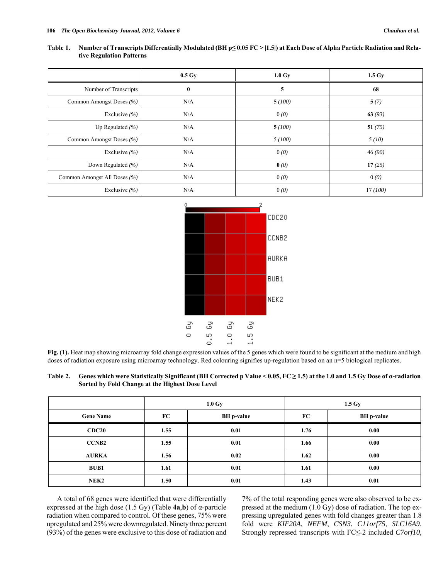| Table 1. | Number of Transcripts Differentially Modulated (BH $p \le 0.05$ FC > [1.5]) at Each Dose of Alpha Particle Radiation and Rela- |
|----------|--------------------------------------------------------------------------------------------------------------------------------|
|          | tive Regulation Patterns                                                                                                       |

|                              | $0.5 \mathrm{Gy}$ | $1.0 \text{ Gy}$ | 1.5 <sub>dy</sub> |
|------------------------------|-------------------|------------------|-------------------|
| Number of Transcripts        | $\bf{0}$          | 5                | 68                |
| Common Amongst Doses (%)     | N/A               | 5(100)           | 5(7)              |
| Exclusive $(%$               | N/A               | 0(0)             | 63(93)            |
| Up Regulated $(\% )$         | N/A               | 5(100)           | 51(75)            |
| Common Amongst Doses (%)     | N/A               | 5(100)           | 5(10)             |
| Exclusive $(%$               | N/A               | 0(0)             | 46(90)            |
| Down Regulated (%)           | N/A               | $\mathbf{0}$ (0) | 17(25)            |
| Common Amongst All Doses (%) | N/A               | 0(0)             | 0(0)              |
| Exclusive $(%$               | N/A               | 0(0)             | 17(100)           |



**Fig. (1).** Heat map showing microarray fold change expression values of the 5 genes which were found to be significant at the medium and high doses of radiation exposure using microarray technology. Red colouring signifies up-regulation based on an n=5 biological replicates.

| Table 2. Genes which were Statistically Significant (BH Corrected p Value < 0.05, $FC \ge 1.5$ ) at the 1.0 and 1.5 Gy Dose of a-radiation |
|--------------------------------------------------------------------------------------------------------------------------------------------|
| Sorted by Fold Change at the Highest Dose Level                                                                                            |

|                  |      | $1.0 \text{ Gy}$  | 1.5 <sub>dy</sub> |                   |  |  |
|------------------|------|-------------------|-------------------|-------------------|--|--|
| <b>Gene Name</b> | FC   | <b>BH</b> p-value | FC                | <b>BH</b> p-value |  |  |
| CDC20            | 1.55 | 0.01              | 1.76              | 0.00              |  |  |
| <b>CCNB2</b>     | 1.55 | 0.01              | 1.66              | 0.00              |  |  |
| <b>AURKA</b>     | 1.56 | 0.02              | 1.62              | 0.00              |  |  |
| <b>BUB1</b>      | 1.61 | 0.01              | 1.61              | 0.00              |  |  |
| NEK <sub>2</sub> | 1.50 | 0.01              | 1.43              | 0.01              |  |  |

 A total of 68 genes were identified that were differentially expressed at the high dose (1.5 Gy) (Table **4a**,**b**) of α-particle radiation when compared to control. Of these genes, 75% were upregulated and 25% were downregulated. Ninety three percent (93%) of the genes were exclusive to this dose of radiation and 7% of the total responding genes were also observed to be expressed at the medium (1.0 Gy) dose of radiation. The top expressing upregulated genes with fold changes greater than 1.8 fold were *KIF20A*, *NEFM*, *CSN3*, *C11orf75*, *SLC16A9*. Strongly repressed transcripts with FC≤-2 included *C7orf10,*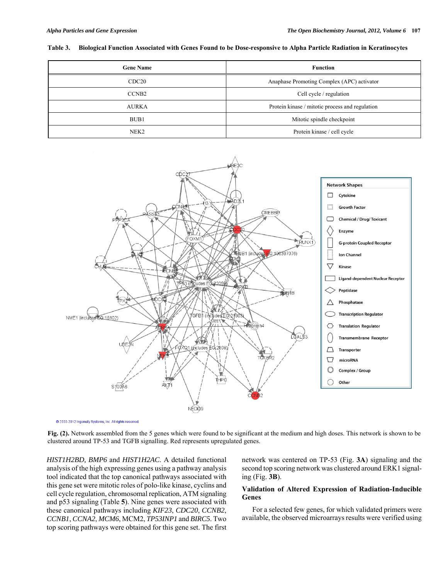## **Table 3. Biological Function Associated with Genes Found to be Dose-responsive to Alpha Particle Radiation in Keratinocytes**

| <b>Gene Name</b>  | <b>Function</b>                                 |
|-------------------|-------------------------------------------------|
| CDC <sub>20</sub> | Anaphase Promoting Complex (APC) activator      |
| CCNB <sub>2</sub> | Cell cycle / regulation                         |
| <b>AURKA</b>      | Protein kinase / mitotic process and regulation |
| BUB1              | Mitotic spindle checkpoint                      |
| NEK <sub>2</sub>  | Protein kinase / cell cycle                     |



© 2000-2012 Ingenuity Systems, Inc. All rights reserved.

**Fig. (2).** Network assembled from the 5 genes which were found to be significant at the medium and high doses. This network is shown to be clustered around TP-53 and TGFB signalling. Red represents upregulated genes.

*HIST1H2BD, BMP6* and *HIST1H2AC*. A detailed functional analysis of the high expressing genes using a pathway analysis tool indicated that the top canonical pathways associated with this gene set were mitotic roles of polo-like kinase, cyclins and cell cycle regulation, chromosomal replication, ATM signaling and p53 signaling (Table **5**). Nine genes were associated with these canonical pathways including *KIF23*, *CDC20*, *CCNB2*, *CCNB1*, *CCNA2*, *MCM6*, MCM2, *TP53INP1* and *BIRC5*. Two top scoring pathways were obtained for this gene set. The first network was centered on TP-53 (Fig. **3A**) signaling and the second top scoring network was clustered around ERK1 signaling (Fig. **3B**).

# **Validation of Altered Expression of Radiation-Inducible Genes**

 For a selected few genes, for which validated primers were available, the observed microarrays results were verified using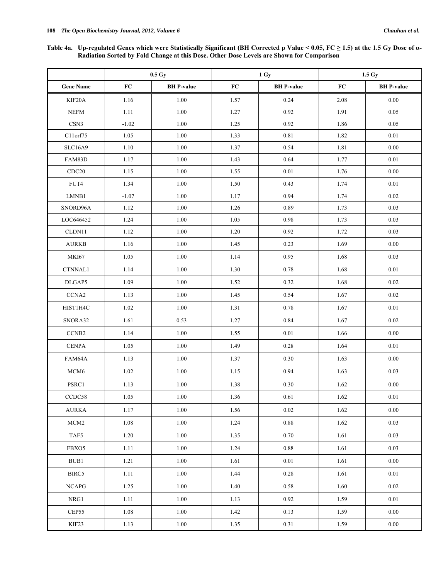**Table 4a. Up-regulated Genes which were Statistically Significant (BH Corrected p Value < 0.05, FC ≥ 1.5) at the 1.5 Gy Dose of α-Radiation Sorted by Fold Change at this Dose. Other Dose Levels are Shown for Comparison** 

|                                           |         | $0.5\;\mathrm{Gy}$ |            | 1 Gy              | 1.5 <sub>dy</sub> |                   |  |
|-------------------------------------------|---------|--------------------|------------|-------------------|-------------------|-------------------|--|
| <b>Gene Name</b>                          | FC      | <b>BH</b> P-value  | ${\bf FC}$ | <b>BH</b> P-value | FC                | <b>BH</b> P-value |  |
| KIF20A                                    | 1.16    | 1.00               | 1.57       | 0.24              | 2.08              | 0.00              |  |
| <b>NEFM</b>                               | 1.11    | 1.00               | 1.27       | 0.92              | 1.91              | 0.05              |  |
| CSN3                                      | $-1.02$ | 1.00               | 1.25       | 0.92              | 1.86              | 0.05              |  |
| C11orf75                                  | 1.05    | 1.00               | 1.33       | 0.81              | 1.82              | 0.01              |  |
| SLC16A9                                   | 1.10    | 1.00               | 1.37       | 0.54              | 1.81              | 0.00              |  |
| FAM83D                                    | 1.17    | 1.00               | 1.43       | 0.64              | 1.77              | 0.01              |  |
| CDC20                                     | 1.15    | 1.00               | 1.55       | $0.01\,$          | 1.76              | 0.00              |  |
| FUT4                                      | 1.34    | 1.00               | 1.50       | 0.43              | 1.74              | 0.01              |  |
| ${\rm LMNB1}$                             | $-1.07$ | 1.00               | 1.17       | 0.94              | 1.74              | 0.02              |  |
| SNORD96A                                  | 1.12    | $1.00\,$           | 1.26       | 0.89              | 1.73              | 0.03              |  |
| LOC646452                                 | 1.24    | 1.00               | 1.05       | 0.98              | 1.73              | 0.03              |  |
| CLDN11                                    | 1.12    | 1.00               | 1.20       | 0.92              | 1.72              | 0.03              |  |
| ${\bf A} {\bf U} {\bf R} {\bf K} {\bf B}$ | 1.16    | 1.00               | 1.45       | 0.23              | 1.69              | 0.00              |  |
| <b>MKI67</b>                              | 1.05    | 1.00               | 1.14       | 0.95              | 1.68              | 0.03              |  |
| CTNNAL1                                   | 1.14    | 1.00               | 1.30       | 0.78              | 1.68              | 0.01              |  |
| DLGAP5                                    | 1.09    | 1.00               | 1.52       | 0.32              | 1.68              | 0.02              |  |
| $CCNA2$                                   | 1.13    | 1.00               | 1.45       | 0.54              | 1.67              | $0.02\,$          |  |
| HIST1H4C                                  | 1.02    | 1.00               | 1.31       | 0.78              | 1.67              | 0.01              |  |
| SNORA32                                   | 1.61    | 0.53               | 1.27       | 0.84              | 1.67              | 0.02              |  |
| CCNB <sub>2</sub>                         | 1.14    | 1.00               | 1.55       | 0.01              | 1.66              | 0.00              |  |
| $\ensuremath{\mathsf{CENPA}}\xspace$      | 1.05    | 1.00               | 1.49       | 0.28              | 1.64              | 0.01              |  |
| FAM64A                                    | 1.13    | 1.00               | 1.37       | 0.30              | 1.63              | 0.00              |  |
| MCM <sub>6</sub>                          | 1.02    | 1.00               | 1.15       | 0.94              | 1.63              | 0.03              |  |
| PSRC1                                     | 1.13    | 1.00               | 1.38       | 0.30              | 1.62              | 0.00              |  |
| CCDC58                                    | 1.05    | $1.00\,$           | $1.36\,$   | $0.61\,$          | 1.62              | $0.01\,$          |  |
| <b>AURKA</b>                              | 1.17    | 1.00               | 1.56       | $0.02\,$          | 1.62              | 0.00              |  |
| MCM <sub>2</sub>                          | 1.08    | 1.00               | 1.24       | 0.88              | 1.62              | 0.03              |  |
| TAF5                                      | 1.20    | 1.00               | 1.35       | 0.70              | 1.61              | 0.03              |  |
| FBXO5                                     | 1.11    | 1.00               | 1.24       | 0.88              | 1.61              | 0.03              |  |
| BUB1                                      | 1.21    | 1.00               | 1.61       | 0.01              | 1.61              | 0.00              |  |
| BIRC5                                     | 1.11    | 1.00               | 1.44       | 0.28              | 1.61              | 0.01              |  |
| <b>NCAPG</b>                              | 1.25    | 1.00               | 1.40       | 0.58              | 1.60              | 0.02              |  |
| NRG1                                      | 1.11    | 1.00               | 1.13       | 0.92              | 1.59              | $0.01\,$          |  |
| CEP55                                     | 1.08    | 1.00               | 1.42       | 0.13              | 1.59              | 0.00              |  |
| KIF23                                     | 1.13    | 1.00               | 1.35       | 0.31              | 1.59              | 0.00              |  |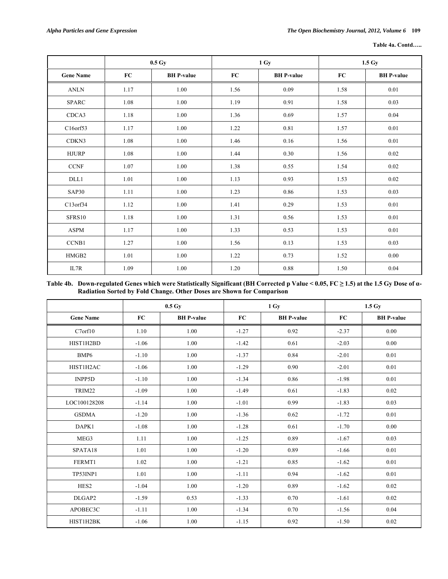| Table 4a. Contd |
|-----------------|
|                 |

|                       |      | $0.5\;\mathrm{Gy}$ |      | 1 Gy              | 1.5 Gy |                   |  |
|-----------------------|------|--------------------|------|-------------------|--------|-------------------|--|
| <b>Gene Name</b>      | FC   | <b>BH</b> P-value  | FC   | <b>BH</b> P-value | FC     | <b>BH</b> P-value |  |
| $\operatorname{ANLN}$ | 1.17 | 1.00               | 1.56 | 0.09              | 1.58   | $0.01\,$          |  |
| <b>SPARC</b>          | 1.08 | 1.00               | 1.19 | 0.91              | 1.58   | 0.03              |  |
| CDCA3                 | 1.18 | 1.00               | 1.36 | 0.69              | 1.57   | 0.04              |  |
| C16orf53              | 1.17 | $1.00\,$           | 1.22 | $0.81\,$          | 1.57   | $0.01\,$          |  |
| CDKN3                 | 1.08 | 1.00               | 1.46 | 0.16              | 1.56   | 0.01              |  |
| <b>HJURP</b>          | 1.08 | 1.00               | 1.44 | 0.30              | 1.56   | 0.02              |  |
| $\mbox{CCNF}$         | 1.07 | 1.00               | 1.38 | 0.55              | 1.54   | 0.02              |  |
| DLL1                  | 1.01 | 1.00               | 1.13 | 0.93              | 1.53   | 0.02              |  |
| SAP30                 | 1.11 | 1.00               | 1.23 | 0.86              | 1.53   | 0.03              |  |
| C13orf34              | 1.12 | 1.00               | 1.41 | 0.29              | 1.53   | 0.01              |  |
| SFRS10                | 1.18 | $1.00\,$           | 1.31 | 0.56              | 1.53   | 0.01              |  |
| ASPM                  | 1.17 | 1.00               | 1.33 | 0.53              | 1.53   | $0.01\,$          |  |
| CCNB1                 | 1.27 | 1.00               | 1.56 | 0.13              | 1.53   | 0.03              |  |
| HMGB2                 | 1.01 | 1.00               | 1.22 | 0.73              | 1.52   | 0.00              |  |
| IL7R                  | 1.09 | 1.00               | 1.20 | 0.88              | 1.50   | 0.04              |  |

## **Table 4b. Down-regulated Genes which were Statistically Significant (BH Corrected p Value < 0.05, FC ≥ 1.5) at the 1.5 Gy Dose of α-Radiation Sorted by Fold Change. Other Doses are Shown for Comparison**

|                     |         | $0.5\,\mathrm{Gy}$ |         | 1 Gy              | 1.5 <sub>dy</sub> |                   |  |
|---------------------|---------|--------------------|---------|-------------------|-------------------|-------------------|--|
| <b>Gene Name</b>    | FC      | <b>BH</b> P-value  | FC      | <b>BH</b> P-value | FC                | <b>BH</b> P-value |  |
| C7 <sub>orf10</sub> | 1.10    | 1.00               | $-1.27$ | 0.92              | $-2.37$           | 0.00              |  |
| HIST1H2BD           | $-1.06$ | 1.00               | $-1.42$ | 0.61              | $-2.03$           | 0.00              |  |
| BMP <sub>6</sub>    | $-1.10$ | 1.00               | $-1.37$ | 0.84              | $-2.01$           | 0.01              |  |
| HIST1H2AC           | $-1.06$ | 1.00               | $-1.29$ | 0.90              | $-2.01$           | 0.01              |  |
| <b>INPP5D</b>       | $-1.10$ | 1.00               | $-1.34$ | 0.86              | $-1.98$           | 0.01              |  |
| TRIM22              | $-1.09$ | 1.00               | $-1.49$ | 0.61              | $-1.83$           | 0.02              |  |
| LOC100128208        | $-1.14$ | 1.00               | $-1.01$ | 0.99              | $-1.83$           | 0.03              |  |
| <b>GSDMA</b>        | $-1.20$ | 1.00               | $-1.36$ | 0.62              | $-1.72$           | 0.01              |  |
| DAPK1               | $-1.08$ | 1.00               | $-1.28$ | 0.61              |                   | 0.00              |  |
| MEG3                | 1.11    | 1.00               | $-1.25$ | 0.89              | $-1.67$           | 0.03              |  |
| SPATA18             | 1.01    | 1.00               | $-1.20$ | 0.89              | $-1.66$           | 0.01              |  |
| FERMT1              | 1.02    | 1.00               | $-1.21$ | 0.85              | $-1.62$           | 0.01              |  |
| TP53INP1            | 1.01    | 1.00               | $-1.11$ | 0.94              | $-1.62$           | 0.01              |  |
| HES <sub>2</sub>    | $-1.04$ | 1.00               | $-1.20$ | 0.89              | $-1.62$           | 0.02              |  |
| DLGAP2              | $-1.59$ | 0.53               | $-1.33$ | 0.70              | $-1.61$           | 0.02              |  |
| APOBEC3C            | $-1.11$ | 1.00               | $-1.34$ | 0.70              | $-1.56$           | 0.04              |  |
| HIST1H2BK           | $-1.06$ | 1.00               | $-1.15$ | 0.92              | $-1.50$           | 0.02              |  |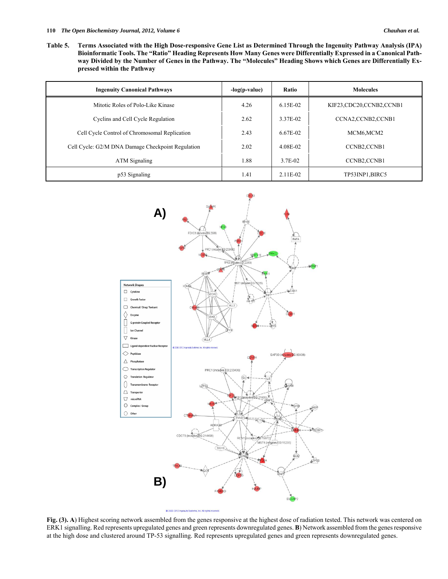**Table 5. Terms Associated with the High Dose-responsive Gene List as Determined Through the Ingenuity Pathway Analysis (IPA) Bioinformatic Tools. The "Ratio" Heading Represents How Many Genes were Differentially Expressed in a Canonical Pathway Divided by the Number of Genes in the Pathway. The "Molecules" Heading Shows which Genes are Differentially Expressed within the Pathway** 

| <b>Ingenuity Canonical Pathways</b>               | -log(p-value) | Ratio    | <b>Molecules</b>                     |
|---------------------------------------------------|---------------|----------|--------------------------------------|
| Mitotic Roles of Polo-Like Kinase                 | 4.26          | 6.15E-02 | KIF23,CDC20,CCNB2,CCNB1              |
| Cyclins and Cell Cycle Regulation                 | 2.62          | 3.37E-02 | CCNA2,CCNB2,CCNB1                    |
| Cell Cycle Control of Chromosomal Replication     | 2.43          | 6.67E-02 | MCM6,MCM2                            |
| Cell Cycle: G2/M DNA Damage Checkpoint Regulation | 2.02          | 4.08E-02 | <b>CCNB2.CCNB1</b>                   |
| ATM Signaling                                     | 1.88          | 3.7E-02  | CCNB <sub>2</sub> ,CCNB <sub>1</sub> |
| p53 Signaling                                     | 1.41          | 2.11E-02 | TP53INP1,BIRC5                       |



**Fig. (3). A**) Highest scoring network assembled from the genes responsive at the highest dose of radiation tested. This network was centered on ERK1 signalling. Red represents upregulated genes and green represents downregulated genes. **B**) Network assembled from the genes responsive at the high dose and clustered around TP-53 signalling. Red represents upregulated genes and green represents downregulated genes.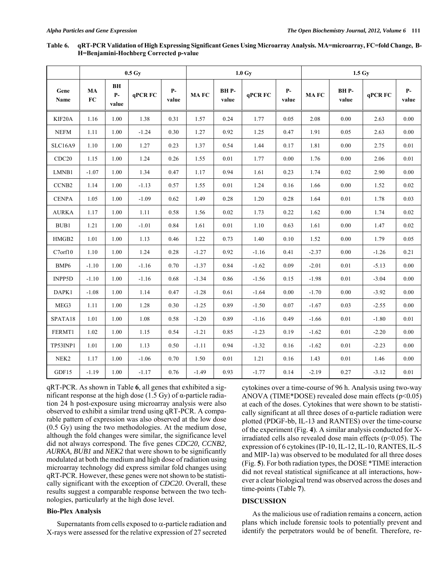|                   |                  |                            | 0.5 <sub>dy</sub> |               |             |               | $1.0 \text{ Gy}$ |               | 1.5 <sub>dy</sub> |               |         |               |
|-------------------|------------------|----------------------------|-------------------|---------------|-------------|---------------|------------------|---------------|-------------------|---------------|---------|---------------|
| Gene<br>Name      | MA<br>${\bf FC}$ | <b>BH</b><br>$P-$<br>value | qPCR FC           | $P-$<br>value | <b>MAFC</b> | BHP-<br>value | qPCR FC          | $P-$<br>value | <b>MAFC</b>       | BHP-<br>value | qPCR FC | $P-$<br>value |
| KIF20A            | 1.16             | 1.00                       | 1.38              | 0.31          | 1.57        | 0.24          | 1.77             | 0.05          | 2.08              | 0.00          | 2.63    | 0.00          |
| <b>NEFM</b>       | 1.11             | 1.00                       | $-1.24$           | 0.30          | 1.27        | 0.92          | 1.25             | 0.47          | 1.91              | 0.05          | 2.63    | 0.00          |
| <b>SLC16A9</b>    | 1.10             | 1.00                       | 1.27              | 0.23          | 1.37        | 0.54          | 1.44             | 0.17          | 1.81              | 0.00          | 2.75    | 0.01          |
| CDC <sub>20</sub> | 1.15             | 1.00                       | 1.24              | 0.26          | 1.55        | 0.01          | 1.77             | 0.00          | 1.76              | 0.00          | 2.06    | 0.01          |
| LMNB1             | $-1.07$          | 1.00                       | 1.34              | 0.47          | 1.17        | 0.94          | 1.61             | 0.23          | 1.74              | 0.02          | 2.90    | 0.00          |
| CCNB <sub>2</sub> | 1.14             | 1.00                       | $-1.13$           | 0.57          | 1.55        | 0.01          | 1.24             | 0.16          | 1.66              | $0.00\,$      | 1.52    | 0.02          |
| <b>CENPA</b>      | 1.05             | 1.00                       | $-1.09$           | 0.62          | 1.49        | 0.28          | 1.20             | 0.28          | 1.64              | 0.01          | 1.78    | 0.03          |
| <b>AURKA</b>      | 1.17             | 1.00                       | 1.11              | 0.58          | 1.56        | 0.02          | 1.73             | 0.22          | 1.62              | 0.00          | 1.74    | 0.02          |
| BUB1              | 1.21             | 1.00                       | $-1.01$           | 0.84          | 1.61        | 0.01          | 1.10             | 0.63          | 1.61              | 0.00          | 1.47    | 0.02          |
| HMGB2             | 1.01             | 1.00                       | 1.13              | 0.46          | 1.22        | 0.73          | 1.40             | 0.10          | 1.52              | 0.00          | 1.79    | 0.05          |
| C7orf10           | 1.10             | 1.00                       | 1.24              | 0.28          | $-1.27$     | 0.92          | $-1.16$          | 0.41          | $-2.37$           | 0.00          | $-1.26$ | 0.21          |
| BMP <sub>6</sub>  | $-1.10$          | 1.00                       | $-1.16$           | 0.70          | $-1.37$     | 0.84          | $-1.62$          | 0.09          | $-2.01$           | 0.01          | $-5.13$ | 0.00          |
| INPP5D            | $-1.10$          | 1.00                       | $-1.16$           | 0.68          | $-1.34$     | 0.86          | $-1.56$          | 0.15          | $-1.98$           | 0.01          | $-3.04$ | 0.00          |
| DAPK1             | $-1.08$          | 1.00                       | 1.14              | 0.47          | $-1.28$     | 0.61          | $-1.64$          | 0.00          | $-1.70$           | 0.00          | $-3.92$ | 0.00          |
| MEG3              | 1.11             | 1.00                       | 1.28              | 0.30          | $-1.25$     | 0.89          | $-1.50$          | 0.07          | $-1.67$           | 0.03          | $-2.55$ | $0.00\,$      |
| SPATA18           | 1.01             | 1.00                       | 1.08              | 0.58          | $-1.20$     | 0.89          | $-1.16$          | 0.49          | $-1.66$           | 0.01          | $-1.80$ | 0.01          |
| FERMT1            | 1.02             | 1.00                       | 1.15              | 0.54          | $-1.21$     | 0.85          | $-1.23$          | 0.19          | $-1.62$           | 0.01          | $-2.20$ | 0.00          |
| TP53INP1          | 1.01             | 1.00                       | 1.13              | 0.50          | $-1.11$     | 0.94          | $-1.32$          | 0.16          | $-1.62$           | 0.01          | $-2.23$ | 0.00          |
| NEK <sub>2</sub>  | 1.17             | 1.00                       | $-1.06$           | 0.70          | 1.50        | 0.01          | 1.21             | 0.16          | 1.43              | 0.01          | 1.46    | 0.00          |
| GDF15             | $-1.19$          | 1.00                       | $-1.17$           | 0.76          | $-1.49$     | 0.93          | $-1.77$          | 0.14          | $-2.19$           | 0.27          | $-3.12$ | 0.01          |

**Table 6. qRT-PCR Validation of High Expressing Significant Genes Using Microarray Analysis. MA=microarray, FC=fold Change, B-H=Benjamini-Hochberg Corrected p-value** 

qRT-PCR. As shown in Table **6**, all genes that exhibited a significant response at the high dose (1.5 Gy) of  $\alpha$ -particle radiation 24 h post-exposure using microarray analysis were also observed to exhibit a similar trend using qRT-PCR. A comparable pattern of expression was also observed at the low dose (0.5 Gy) using the two methodologies. At the medium dose, although the fold changes were similar, the significance level did not always correspond. The five genes *CDC20, CCNB2, AURKA, BUB1* and *NEK2* that were shown to be significantly modulated at both the medium and high dose of radiation using microarray technology did express similar fold changes using qRT-PCR. However, these genes were not shown to be statistically significant with the exception of *CDC20*. Overall, these results suggest a comparable response between the two technologies, particularly at the high dose level.

## **Bio-Plex Analysis**

Supernatants from cells exposed to  $\alpha$ -particle radiation and X-rays were assessed for the relative expression of 27 secreted cytokines over a time-course of 96 h. Analysis using two-way ANOVA (TIME\*DOSE) revealed dose main effects  $(p<0.05)$ at each of the doses. Cytokines that were shown to be statistically significant at all three doses of  $\alpha$ -particle radiation were plotted (PDGF-bb, IL-13 and RANTES) over the time-course of the experiment (Fig. **4**). A similar analysis conducted for Xirradiated cells also revealed dose main effects  $(p<0.05)$ . The expression of 6 cytokines (IP-10, IL-12, IL-10, RANTES, IL-5 and MIP-1a) was observed to be modulated for all three doses (Fig. **5**). For both radiation types, the DOSE \*TIME interaction did not reveal statistical significance at all interactions, however a clear biological trend was observed across the doses and time-points (Table **7**).

# **DISCUSSION**

 As the malicious use of radiation remains a concern, action plans which include forensic tools to potentially prevent and identify the perpetrators would be of benefit. Therefore, re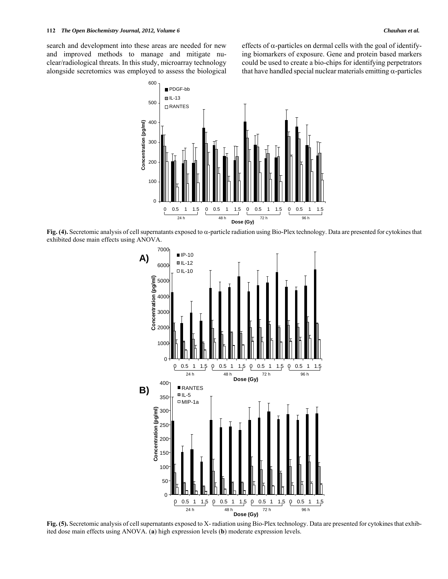search and development into these areas are needed for new and improved methods to manage and mitigate nuclear/radiological threats. In this study, microarray technology alongside secretomics was employed to assess the biological effects of  $\alpha$ -particles on dermal cells with the goal of identifying biomarkers of exposure. Gene and protein based markers could be used to create a bio-chips for identifying perpetrators that have handled special nuclear materials emitting  $\alpha$ -particles



Fig.  $(4)$ . Secretomic analysis of cell supernatants exposed to  $\alpha$ -particle radiation using Bio-Plex technology. Data are presented for cytokines that exhibited dose main effects using ANOVA.



**Fig. (5).** Secretomic analysis of cell supernatants exposed to X- radiation using Bio-Plex technology. Data are presented for cytokines that exhibited dose main effects using ANOVA. (**a**) high expression levels (**b**) moderate expression levels.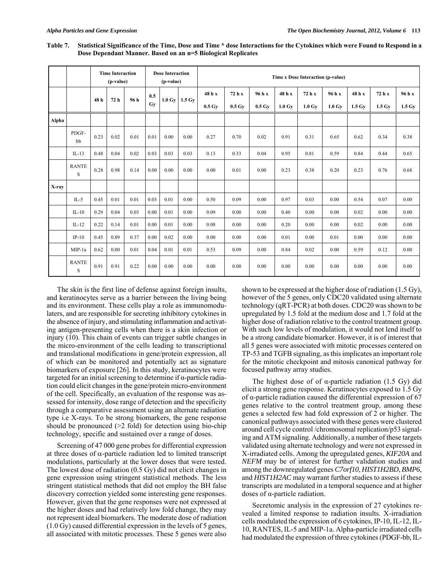|       |                   | <b>Time Interaction</b><br>(p-value) |      | <b>Dose Interaction</b><br>(p-value) |           | Time x Dose Interaction (p-value) |                  |                              |                              |                              |                            |                            |                            |                            |                            |                            |
|-------|-------------------|--------------------------------------|------|--------------------------------------|-----------|-----------------------------------|------------------|------------------------------|------------------------------|------------------------------|----------------------------|----------------------------|----------------------------|----------------------------|----------------------------|----------------------------|
|       |                   | 48 h                                 | 72 h | 96 h                                 | 0.5<br>Gv | $1.0 \text{ Gv}$                  | $1.5 \text{ Gy}$ | 48 h x<br>$0.5\,\mathrm{Gy}$ | 72 h x<br>$0.5\,\mathrm{Gy}$ | 96 h x<br>$0.5\,\mathrm{Gy}$ | 48 h x<br>$1.0 \text{ Gv}$ | 72 h x<br>$1.0 \text{ Gv}$ | 96 h x<br>$1.0 \text{ Gv}$ | 48 h x<br>$1.5 \text{ Gv}$ | 72 h x<br>$1.5 \text{ Gv}$ | 96 h x<br>$1.5 \text{ Gy}$ |
| Alpha |                   |                                      |      |                                      |           |                                   |                  |                              |                              |                              |                            |                            |                            |                            |                            |                            |
|       | PDGF-<br>bb       | 0.23                                 | 0.02 | 0.01                                 | 0.01      | 0.00                              | 0.00             | 0.27                         | 0.70                         | 0.02                         | 0.91                       | 0.31                       | 0.65                       | 0.62                       | 0.34                       | 0.38                       |
|       | $IL-13$           | 0.48                                 | 0.04 | 0.02                                 | 0.03      | 0.03                              | 0.03             | 0.13                         | 0.33                         | 0.04                         | 0.95                       | 0.81                       | 0.59                       | 0.84                       | 0.44                       | 0.65                       |
|       | <b>RANTE</b><br>S | 0.28                                 | 0.98 | 0.14                                 | 0.00      | 0.00                              | 0.00             | 0.00                         | 0.01                         | 0.00                         | 0.23                       | 0.38                       | 0.20                       | 0.23                       | 0.76                       | 0.68                       |
| X-ray |                   |                                      |      |                                      |           |                                   |                  |                              |                              |                              |                            |                            |                            |                            |                            |                            |
|       | $IL-5$            | 0.45                                 | 0.01 | 0.01                                 | 0.03      | 0.01                              | 0.00             | 0.50                         | 0.09                         | 0.00                         | 0.97                       | 0.03                       | 0.00                       | 0.54                       | 0.07                       | 0.00                       |
|       | $IL-10$           | 0.29                                 | 0.04 | 0.03                                 | 0.00      | 0.01                              | 0.00             | 0.09                         | 0.00                         | 0.00                         | 0.40                       | 0.00                       | 0.00                       | 0.02                       | 0.00                       | 0.00                       |
|       | $IL-12$           | 0.22                                 | 0.14 | 0.01                                 | 0.00      | 0.01                              | 0.00             | 0.08                         | 0.00                         | 0.00                         | 0.20                       | 0.00                       | 0.00                       | 0.02                       | 0.00                       | 0.00                       |
|       | $IP-10$           | 0.45                                 | 0.89 | 0.37                                 | 0.00      | 0.02                              | 0.00             | 0.00                         | 0.00                         | 0.00                         | 0.01                       | 0.00                       | 0.01                       | 0.00                       | 0.00                       | 0.00                       |
|       | MIP-1a            | 0.62                                 | 0.00 | 0.01                                 | 0.04      | 0.01                              | 0.01             | 0.53                         | 0.09                         | 0.00                         | 0.84                       | 0.02                       | 0.00                       | 0.59                       | 0.12                       | 0.00                       |
|       | <b>RANTE</b><br>S | 0.91                                 | 0.91 | 0.22                                 | 0.00      | 0.00                              | 0.00             | 0.00                         | 0.00                         | 0.00                         | 0.00                       | 0.00                       | 0.00                       | 0.00                       | 0.00                       | 0.00                       |

**Table 7. Statistical Significance of the Time, Dose and Time \* dose Interactions for the Cytokines which were Found to Respond in a Dose Dependant Manner. Based on an n=5 Biological Replicates** 

 The skin is the first line of defense against foreign insults, and keratinocytes serve as a barrier between the living being and its environment. These cells play a role as immunomodulaters, and are responsible for secreting inhibitory cytokines in the absence of injury, and stimulating inflammation and activating antigen-presenting cells when there is a skin infection or injury (10). This chain of events can trigger subtle changes in the micro-environment of the cells leading to transcriptional and translational modifications in gene/protein expression, all of which can be monitored and potentially act as signature biomarkers of exposure [26]. In this study, keratinocytes were targeted for an initial screening to determine if α-particle radiation could elicit changes in the gene/protein micro-environment of the cell. Specifically, an evaluation of the response was assessed for intensity, dose range of detection and the specificity through a comparative assessment using an alternate radiation type i.e X-rays. To be strong biomarkers, the gene response should be pronounced  $(>2$  fold) for detection using bio-chip technology, specific and sustained over a range of doses.

 Screening of 47 000 gene probes for differential expression at three doses of  $\alpha$ -particle radiation led to limited transcript modulations, particularly at the lower doses that were tested. The lowest dose of radiation (0.5 Gy) did not elicit changes in gene expression using stringent statistical methods. The less stringent statistical methods that did not employ the BH false discovery correction yielded some interesting gene responses. However, given that the gene responses were not expressed at the higher doses and had relatively low fold change, they may not represent ideal biomarkers. The moderate dose of radiation (1.0 Gy) caused differential expression in the levels of 5 genes, all associated with mitotic processes. These 5 genes were also shown to be expressed at the higher dose of radiation (1.5 Gy), however of the 5 genes, only CDC20 validated using alternate technology (qRT-PCR) at both doses. CDC20 was shown to be upregulated by 1.5 fold at the medium dose and 1.7 fold at the higher dose of radiation relative to the control treatment group. With such low levels of modulation, it would not lend itself to be a strong candidate biomarker. However, it is of interest that all 5 genes were associated with mitotic processes centered on TP-53 and TGFB signaling, as this implicates an important role for the mitotic checkpoint and mitosis canonical pathway for focused pathway array studies.

The highest dose of of  $\alpha$ -particle radiation (1.5 Gy) did elicit a strong gene response. Keratinocytes exposed to 1.5 Gy of α-particle radiation caused the differential expression of 67 genes relative to the control treatment group, among these genes a selected few had fold expression of 2 or higher. The canonical pathways associated with these genes were clustered around cell cycle control /chromosomal replication/p53 signaling and ATM signaling. Additionally, a number of these targets validated using alternate technology and were not expressed in X-irradiated cells. Among the upregulated genes, *KIF20A* and *NEFM* may be of interest for further validation studies and among the downregulated genes *C7orf10*, *HIST1H2BD*, *BMP6*, and *HIST1H2AC* may warrant further studies to assess if these transcripts are modulated in a temporal sequence and at higher doses of α-particle radiation.

 Secretomic analysis in the expression of 27 cytokines revealed a limited response to radiation insults. X-irradiation cells modulated the expression of 6 cytokines, IP-10, IL-12, IL-10, RANTES, IL-5 and MIP-1a. Alpha-particle irradiated cells had modulated the expression of three cytokines (PDGF-bb, IL-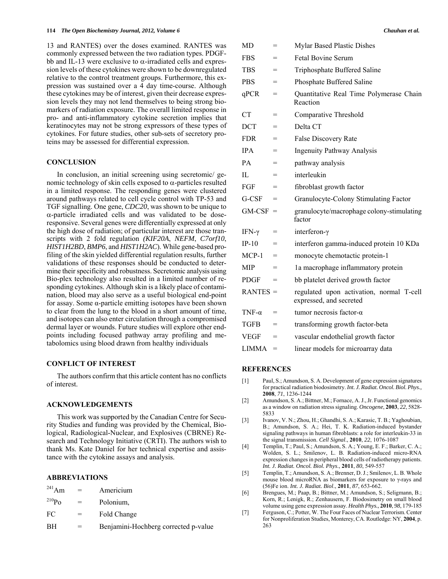13 and RANTES) over the doses examined. RANTES was commonly expressed between the two radiation types. PDGFbb and IL-13 were exclusive to  $\alpha$ -irradiated cells and expression levels of these cytokines were shown to be downregulated relative to the control treatment groups. Furthermore, this expression was sustained over a 4 day time-course. Although these cytokines may be of interest, given their decrease expression levels they may not lend themselves to being strong biomarkers of radiation exposure. The overall limited response in pro- and anti-inflammatory cytokine secretion implies that keratinocytes may not be strong expressors of these types of cytokines. For future studies, other sub-sets of secretory proteins may be assessed for differential expression.

#### **CONCLUSION**

 In conclusion, an initial screening using secretomic/ genomic technology of skin cells exposed to  $\alpha$ -particles resulted in a limited response. The responding genes were clustered around pathways related to cell cycle control with TP-53 and TGF signalling. One gene, *CDC20*, was shown to be unique to  $\alpha$ -particle irradiated cells and was validated to be doseresponsive. Several genes were differentially expressed at only the high dose of radiation; of particular interest are those transcripts with 2 fold regulation *(KIF20A*, *NEFM*, *C7orf10*, *HIST1H2BD*, *BMP6*, and *HIST1H2AC*). While gene-based profiling of the skin yielded differential regulation results, further validations of these responses should be conducted to determine their specificity and robustness. Secretomic analysis using Bio-plex technology also resulted in a limited number of responding cytokines. Although skin is a likely place of contamination, blood may also serve as a useful biological end-point for assay. Some  $\alpha$ -particle emitting isotopes have been shown to clear from the lung to the blood in a short amount of time, and isotopes can also enter circulation through a compromised dermal layer or wounds. Future studies will explore other endpoints including focused pathway array profiling and metabolomics using blood drawn from healthy individuals

## **CONFLICT OF INTEREST**

 The authors confirm that this article content has no conflicts of interest.

#### **ACKNOWLEDGEMENTS**

 This work was supported by the Canadian Centre for Security Studies and funding was provided by the Chemical, Biological, Radiological-Nuclear, and Explosives (CBRNE) Research and Technology Initiative (CRTI). The authors wish to thank Ms. Kate Daniel for her technical expertise and assistance with the cytokine assays and analysis.

### **ABBREVIATIONS**

| $^{241}$ Am        | $=$ | Americium                            |
|--------------------|-----|--------------------------------------|
| $^{210}P_{\Omega}$ | $=$ | Polonium.                            |
| FC                 | $=$ | Fold Change                          |
| BH                 |     | Benjamini-Hochberg corrected p-value |

| <b>MD</b>     | =   | Mylar Based Plastic Dishes                                          |
|---------------|-----|---------------------------------------------------------------------|
| <b>FBS</b>    | $=$ | <b>Fetal Bovine Serum</b>                                           |
| TBS           | $=$ | Triphosphate Buffered Saline                                        |
| <b>PBS</b>    | $=$ | Phosphate Buffered Saline                                           |
| qPCR          | $=$ | Quantitative Real Time Polymerase Chain<br>Reaction                 |
| CT            | $=$ | Comparative Threshold                                               |
| <b>DCT</b>    | $=$ | Delta CT                                                            |
| <b>FDR</b>    | $=$ | False Discovery Rate                                                |
| <b>IPA</b>    | $=$ | <b>Ingenuity Pathway Analysis</b>                                   |
| PA            | $=$ | pathway analysis                                                    |
| Н.            | $=$ | interleukin                                                         |
| FGF           | $=$ | fibroblast growth factor                                            |
| G-CSF         | $=$ | Granulocyte-Colony Stimulating Factor                               |
| $GM-CSF =$    |     | granulocyte/macrophage colony-stimulating<br>factor                 |
| IFN- $\gamma$ | $=$ | interferon- $\gamma$                                                |
| $IP-10$       | $=$ | interferon gamma-induced protein 10 KDa                             |
| $MCP-1$       | $=$ | monocyte chemotactic protein-1                                      |
| <b>MIP</b>    | $=$ | la macrophage inflammatory protein                                  |
| <b>PDGF</b>   | $=$ | bb platelet derived growth factor                                   |
| $RANTES =$    |     | regulated upon activation, normal T-cell<br>expressed, and secreted |
| TNF- $\alpha$ | $=$ | tumor necrosis factor- $\alpha$                                     |
| <b>TGFB</b>   | $=$ | transforming growth factor-beta                                     |
| <b>VEGF</b>   | $=$ | vascular endothelial growth factor                                  |
| <b>LIMMA</b>  | $=$ | linear models for microarray data                                   |

#### **REFERENCES**

- [1] Paul, S.; Amundson, S. A. Development of gene expression signatures for practical radiation biodosimetry. *Int. J. Radiat. Oncol. Biol. Phys.,* **2008**, *71*, 1236-1244
- [2] Amundson, S. A.; Bittner, M.; Fornace, A. J., Jr. Functional genomics as a window on radiation stress signaling. *Oncogene*, **2003**, *22*, 5828- 5833
- [3] Ivanov, V. N.; Zhou, H.; Ghandhi, S. A.; Karasic, T. B.; Yaghoubian, B.; Amundson, S. A.; Hei, T. K. Radiation-induced bystander signaling pathways in human fibroblasts: a role for interleukin-33 in the signal transmission. *Cell Signal*., **2010**, *22*, 1076-1087
- [4] Templin, T.; Paul, S.; Amundson, S. A.; Young, E. F.; Barker, C. A.; Wolden, S. L.; Smilenov, L. B. Radiation-induced micro-RNA expression changes in peripheral blood cells of radiotherapy patients. *Int. J. Radiat. Oncol. Biol. Phys*., **2011**, *80*, 549-557
- [5] Templin, T.; Amundson, S. A.; Brenner, D. J.; Smilenov, L. B. Whole mouse blood microRNA as biomarkers for exposure to γ-rays and (56)Fe ion. *Int. J. Radiat. Biol*., **2011**, *87*, 653-662.
- [6] Brengues, M.; Paap, B.; Bittner, M.; Amundson, S.; Seligmann, B.; Korn, R.; Lenigk, R.; Zenhausern, F. Biodosimetry on small blood volume using gene expression assay. *Health Phys.,* **2010**, *98*, 179-185
- [7] Ferguson, C.; Potter, W. The Four Faces of Nuclear Terrorism. Center for Nonproliferation Studies, Monterey, CA. Routledge: NY, **2004**, p. 263